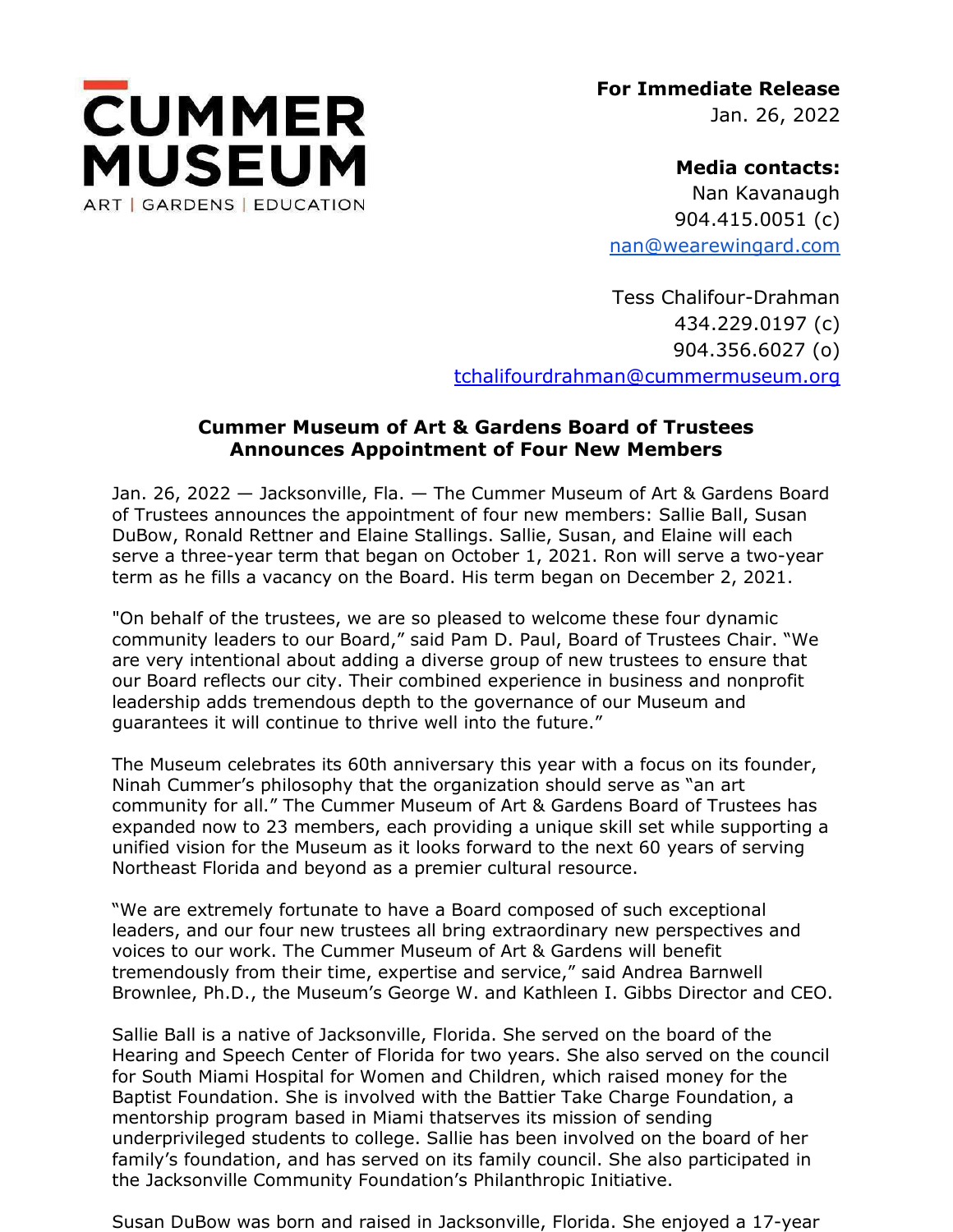

**For Immediate Release** Jan. 26, 2022

**Media contacts:** Nan Kavanaugh 904.415.0051 (c) [nan@wearewingard.com](mailto:nan@wearewingard.com)

Tess Chalifour-Drahman 434.229.0197 (c) 904.356.6027 (o) [tchalifourdrahman@cummermuseum.org](about:blank)

## **Cummer Museum of Art & Gardens Board of Trustees Announces Appointment of Four New Members**

Jan. 26, 2022 — Jacksonville, Fla. — The Cummer Museum of Art & Gardens Board of Trustees announces the appointment of four new members: Sallie Ball, Susan DuBow, Ronald Rettner and Elaine Stallings. Sallie, Susan, and Elaine will each serve a three-year term that began on October 1, 2021. Ron will serve a two-year term as he fills a vacancy on the Board. His term began on December 2, 2021.

"On behalf of the trustees, we are so pleased to welcome these four dynamic community leaders to our Board," said Pam D. Paul, Board of Trustees Chair. "We are very intentional about adding a diverse group of new trustees to ensure that our Board reflects our city. Their combined experience in business and nonprofit leadership adds tremendous depth to the governance of our Museum and guarantees it will continue to thrive well into the future."

The Museum celebrates its 60th anniversary this year with a focus on its founder, Ninah Cummer's philosophy that the organization should serve as "an art community for all." The Cummer Museum of Art & Gardens Board of Trustees has expanded now to 23 members, each providing a unique skill set while supporting a unified vision for the Museum as it looks forward to the next 60 years of serving Northeast Florida and beyond as a premier cultural resource.

"We are extremely fortunate to have a Board composed of such exceptional leaders, and our four new trustees all bring extraordinary new perspectives and voices to our work. The Cummer Museum of Art & Gardens will benefit tremendously from their time, expertise and service," said Andrea Barnwell Brownlee, Ph.D., the Museum's George W. and Kathleen I. Gibbs Director and CEO.

Sallie Ball is a native of Jacksonville, Florida. She served on the board of the Hearing and Speech Center of Florida for two years. She also served on the council for South Miami Hospital for Women and Children, which raised money for the Baptist Foundation. She is involved with the Battier Take Charge Foundation, a mentorship program based in Miami thatserves its mission of sending underprivileged students to college. Sallie has been involved on the board of her family's foundation, and has served on its family council. She also participated in the Jacksonville Community Foundation's Philanthropic Initiative.

Susan DuBow was born and raised in Jacksonville, Florida. She enjoyed a 17-year